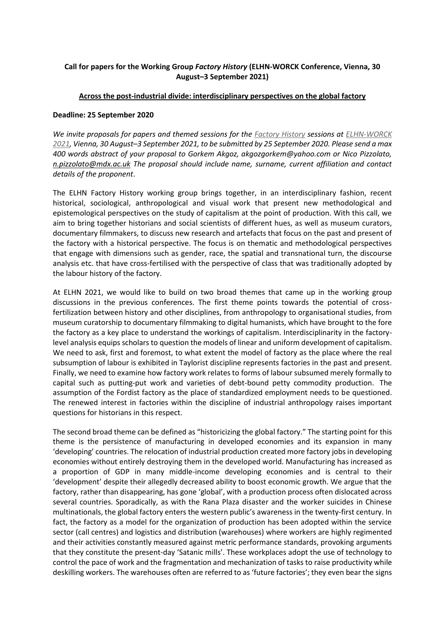# **Call for papers for the Working Group** *Factory History* **(ELHN-WORCK Conference, Vienna, 30 August–3 September 2021)**

### **Across the post-industrial divide: interdisciplinary perspectives on the global factory**

#### **Deadline: 25 September 2020**

*We invite proposals for papers and themed sessions for the [Factory History](https://socialhistoryportal.org/elhn/wg-military) sessions at [ELHN-WORCK](https://www.worck.eu/conference-2-2021-vienna/)  [2021,](https://www.worck.eu/conference-2-2021-vienna/) Vienna, 30 August–3 September 2021, to be submitted by 25 September 2020. Please send a max 400 words abstract of your proposal to Gorkem Akgoz, akgozgorkem@yahoo.com or Nico Pizzolato, [n.pizzolato@mdx.ac.uk](mailto:n.pizzolato@mdx.ac.uk) The proposal should include name, surname, current affiliation and contact details of the proponent*.

The ELHN Factory History working group brings together, in an interdisciplinary fashion, recent historical, sociological, anthropological and visual work that present new methodological and epistemological perspectives on the study of capitalism at the point of production. With this call, we aim to bring together historians and social scientists of different hues, as well as museum curators, documentary filmmakers, to discuss new research and artefacts that focus on the past and present of the factory with a historical perspective. The focus is on thematic and methodological perspectives that engage with dimensions such as gender, race, the spatial and transnational turn, the discourse analysis etc. that have cross-fertilised with the perspective of class that was traditionally adopted by the labour history of the factory.

At ELHN 2021, we would like to build on two broad themes that came up in the working group discussions in the previous conferences. The first theme points towards the potential of crossfertilization between history and other disciplines, from anthropology to organisational studies, from museum curatorship to documentary filmmaking to digital humanists, which have brought to the fore the factory as a key place to understand the workings of capitalism. Interdisciplinarity in the factorylevel analysis equips scholars to question the models of linear and uniform development of capitalism. We need to ask, first and foremost, to what extent the model of factory as the place where the real subsumption of labour is exhibited in Taylorist discipline represents factories in the past and present. Finally, we need to examine how factory work relates to forms of labour subsumed merely formally to capital such as putting-put work and varieties of debt-bound petty commodity production. The assumption of the Fordist factory as the place of standardized employment needs to be questioned. The renewed interest in factories within the discipline of industrial anthropology raises important questions for historians in this respect.

The second broad theme can be defined as "historicizing the global factory." The starting point for this theme is the persistence of manufacturing in developed economies and its expansion in many 'developing' countries. The relocation of industrial production created more factory jobs in developing economies without entirely destroying them in the developed world. Manufacturing has increased as a proportion of GDP in many middle-income developing economies and is central to their 'development' despite their allegedly decreased ability to boost economic growth. We argue that the factory, rather than disappearing, has gone 'global', with a production process often dislocated across several countries. Sporadically, as with the Rana Plaza disaster and the worker suicides in Chinese multinationals, the global factory enters the western public's awareness in the twenty-first century. In fact, the factory as a model for the organization of production has been adopted within the service sector (call centres) and logistics and distribution (warehouses) where workers are highly regimented and their activities constantly measured against metric performance standards, provoking arguments that they constitute the present-day 'Satanic mills'. These workplaces adopt the use of technology to control the pace of work and the fragmentation and mechanization of tasks to raise productivity while deskilling workers. The warehouses often are referred to as 'future factories'; they even bear the signs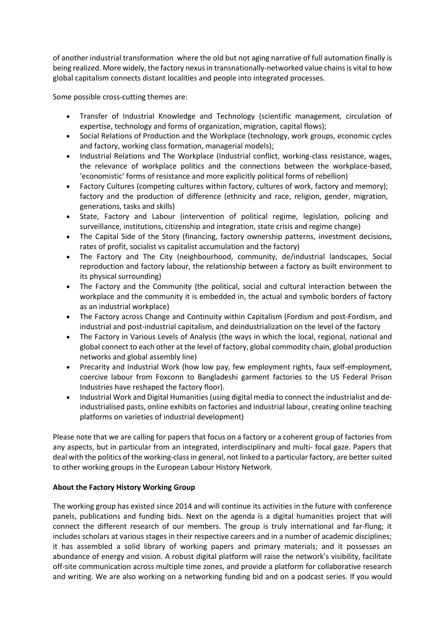of another industrial transformation where the old but not aging narrative of full automation finally is being realized. More widely, the factory nexus in transnationally-networked value chains is vital to how global capitalism connects distant localities and people into integrated processes.

Some possible cross-cutting themes are:

- Transfer of Industrial Knowledge and Technology (scientific management, circulation of expertise, technology and forms of organization, migration, capital flows);
- Social Relations of Production and the Workplace (technology, work groups, economic cycles and factory, working class formation, managerial models);
- Industrial Relations and The Workplace (Industrial conflict, working-class resistance, wages, the relevance of workplace politics and the connections between the workplace-based, 'economistic' forms of resistance and more explicitly political forms of rebellion)
- Factory Cultures (competing cultures within factory, cultures of work, factory and memory); factory and the production of difference (ethnicity and race, religion, gender, migration, generations, tasks and skills)
- State, Factory and Labour (intervention of political regime, legislation, policing and surveillance, institutions, citizenship and integration, state crisis and regime change)
- The Capital Side of the Story (financing, factory ownership patterns, investment decisions, rates of profit, socialist vs capitalist accumulation and the factory)
- The Factory and The City (neighbourhood, community, de/industrial landscapes, Social reproduction and factory labour, the relationship between a factory as built environment to its physical surrounding)
- The Factory and the Community (the political, social and cultural interaction between the workplace and the community it is embedded in, the actual and symbolic borders of factory as an industrial workplace)
- The Factory across Change and Continuity within Capitalism (Fordism and post-Fordism, and industrial and post-industrial capitalism, and deindustrialization on the level of the factory
- The Factory in Various Levels of Analysis (the ways in which the local, regional, national and global connect to each other at the level of factory, global commodity chain, global production networks and global assembly line)
- Precarity and Industrial Work (how low pay, few employment rights, faux self-employment, coercive labour from Foxconn to Bangladeshi garment factories to the US Federal Prison Industries have reshaped the factory floor).
- Industrial Work and Digital Humanities (using digital media to connect the industrialist and deindustrialised pasts, online exhibits on factories and industrial labour, creating online teaching platforms on varieties of industrial development)

Please note that we are calling for papers that focus on a factory or a coherent group of factories from any aspects, but in particular from an integrated, interdisciplinary and multi- focal gaze. Papers that deal with the politics of the working-class in general, not linked to a particular factory, are better suited to other working groups in the European Labour History Network.

# **About the Factory History Working Group**

The working group has existed since 2014 and will continue its activities in the future with conference panels, publications and funding bids. Next on the agenda is a digital humanities project that will connect the different research of our members. The group is truly international and far-flung; it includes scholars at various stages in their respective careers and in a number of academic disciplines; it has assembled a solid library of working papers and primary materials; and it possesses an abundance of energy and vision. A robust digital platform will raise the network's visibility, facilitate off-site communication across multiple time zones, and provide a platform for collaborative research and writing. We are also working on a networking funding bid and on a podcast series. If you would